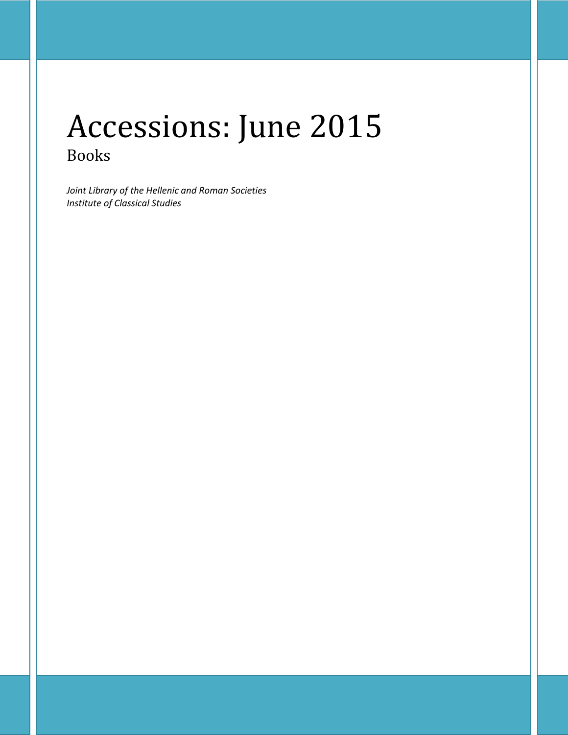# Accessions: June 2015 Books

*Joint Library of the Hellenic and Roman Societies Institute of Classical Studies*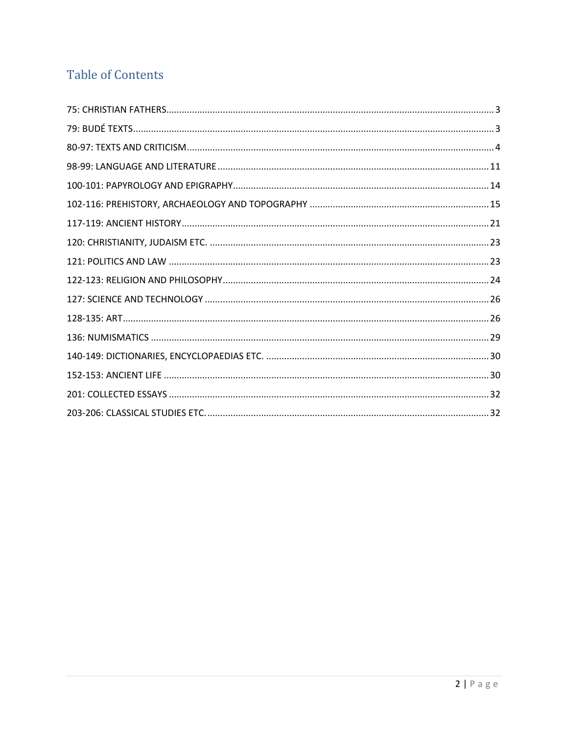## **Table of Contents**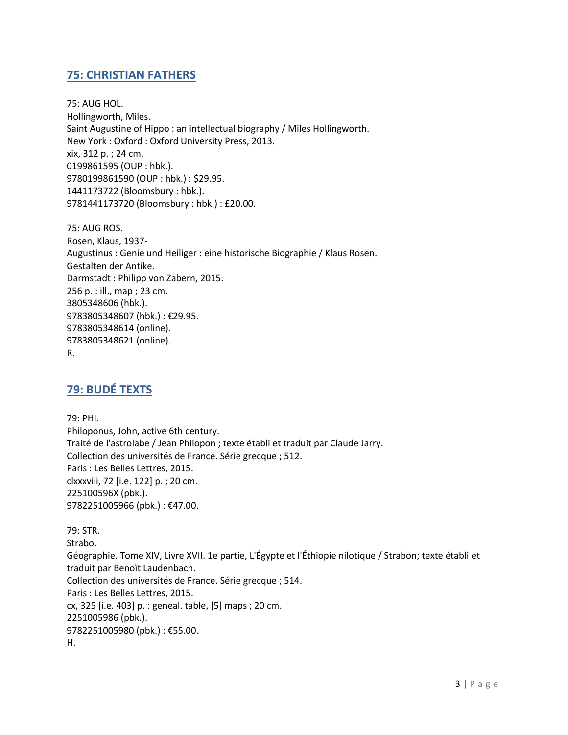## <span id="page-2-0"></span>**75: CHRISTIAN FATHERS**

75: AUG HOL. Hollingworth, Miles. Saint Augustine of Hippo : an intellectual biography / Miles Hollingworth. New York : Oxford : Oxford University Press, 2013. xix, 312 p. ; 24 cm. 0199861595 (OUP : hbk.). 9780199861590 (OUP : hbk.) : \$29.95. 1441173722 (Bloomsbury : hbk.). 9781441173720 (Bloomsbury : hbk.) : £20.00.

75: AUG ROS. Rosen, Klaus, 1937- Augustinus : Genie und Heiliger : eine historische Biographie / Klaus Rosen. Gestalten der Antike. Darmstadt : Philipp von Zabern, 2015. 256 p. : ill., map ; 23 cm. 3805348606 (hbk.). 9783805348607 (hbk.) : €29.95. 9783805348614 (online). 9783805348621 (online). R.

## <span id="page-2-1"></span>**79: BUDÉ TEXTS**

79: PHI. Philoponus, John, active 6th century. Traité de l'astrolabe / Jean Philopon ; texte établi et traduit par Claude Jarry. Collection des universités de France. Série grecque ; 512. Paris : Les Belles Lettres, 2015. clxxxviii, 72 [i.e. 122] p. ; 20 cm. 225100596X (pbk.). 9782251005966 (pbk.) : €47.00.

79: STR. Strabo. Géographie. Tome XIV, Livre XVII. 1e partie, L'Égypte et l'Éthiopie nilotique / Strabon; texte établi et traduit par Benoït Laudenbach. Collection des universités de France. Série grecque ; 514. Paris : Les Belles Lettres, 2015. cx, 325 [i.e. 403] p. : geneal. table, [5] maps ; 20 cm. 2251005986 (pbk.). 9782251005980 (pbk.) : €55.00. H.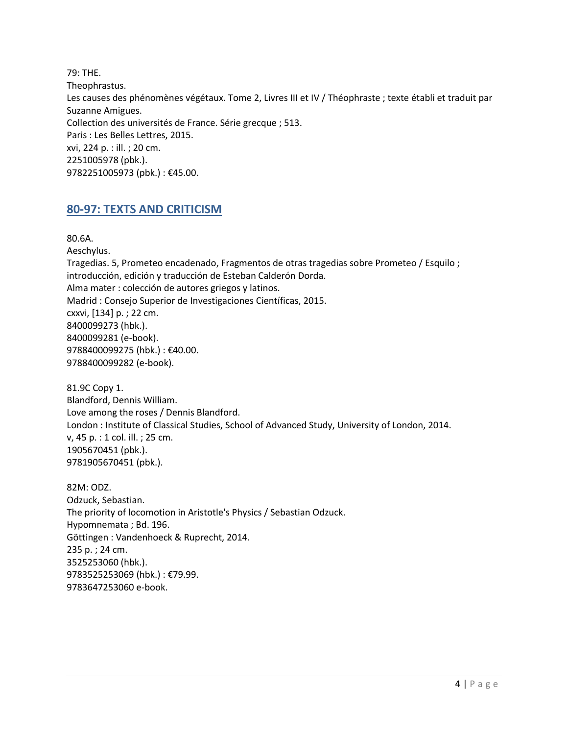79: THE. Theophrastus. Les causes des phénomènes végétaux. Tome 2, Livres III et IV / Théophraste ; texte établi et traduit par Suzanne Amigues. Collection des universités de France. Série grecque ; 513. Paris : Les Belles Lettres, 2015. xvi, 224 p. : ill. ; 20 cm. 2251005978 (pbk.). 9782251005973 (pbk.) : €45.00.

## <span id="page-3-0"></span>**80-97: TEXTS AND CRITICISM**

80.6A. Aeschylus. Tragedias. 5, Prometeo encadenado, Fragmentos de otras tragedias sobre Prometeo / Esquilo ; introducción, edición y traducción de Esteban Calderón Dorda. Alma mater : colección de autores griegos y latinos. Madrid : Consejo Superior de Investigaciones Científicas, 2015. cxxvi, [134] p. ; 22 cm. 8400099273 (hbk.). 8400099281 (e-book). 9788400099275 (hbk.) : €40.00. 9788400099282 (e-book).

81.9C Copy 1. Blandford, Dennis William. Love among the roses / Dennis Blandford. London : Institute of Classical Studies, School of Advanced Study, University of London, 2014. v, 45 p. : 1 col. ill. ; 25 cm. 1905670451 (pbk.). 9781905670451 (pbk.).

82M: ODZ. Odzuck, Sebastian. The priority of locomotion in Aristotle's Physics / Sebastian Odzuck. Hypomnemata ; Bd. 196. Göttingen : Vandenhoeck & Ruprecht, 2014. 235 p. ; 24 cm. 3525253060 (hbk.). 9783525253069 (hbk.) : €79.99. 9783647253060 e-book.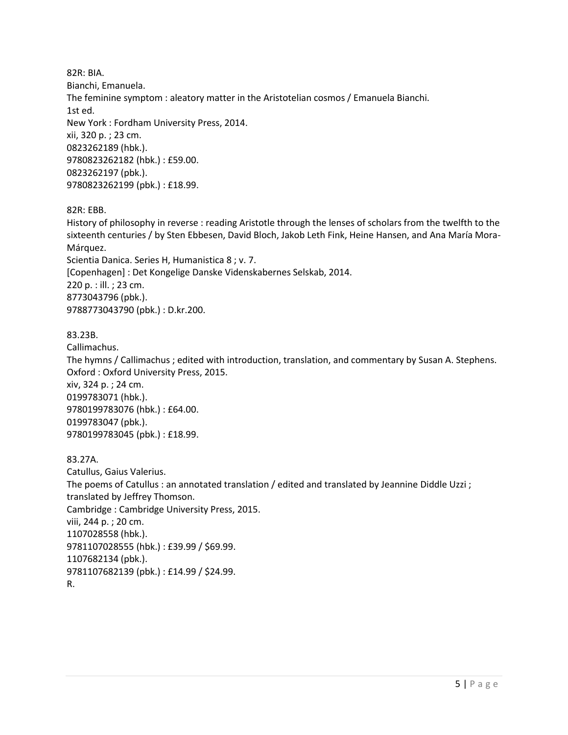82R: BIA. Bianchi, Emanuela. The feminine symptom : aleatory matter in the Aristotelian cosmos / Emanuela Bianchi. 1st ed. New York : Fordham University Press, 2014. xii, 320 p. ; 23 cm. 0823262189 (hbk.). 9780823262182 (hbk.) : £59.00. 0823262197 (pbk.). 9780823262199 (pbk.) : £18.99.

#### 82R: EBB.

History of philosophy in reverse : reading Aristotle through the lenses of scholars from the twelfth to the sixteenth centuries / by Sten Ebbesen, David Bloch, Jakob Leth Fink, Heine Hansen, and Ana María Mora-Márquez. Scientia Danica. Series H, Humanistica 8 ; v. 7. [Copenhagen] : Det Kongelige Danske Videnskabernes Selskab, 2014. 220 p. : ill. ; 23 cm. 8773043796 (pbk.). 9788773043790 (pbk.) : D.kr.200.

#### 83.23B.

Callimachus. The hymns / Callimachus ; edited with introduction, translation, and commentary by Susan A. Stephens. Oxford : Oxford University Press, 2015. xiv, 324 p. ; 24 cm. 0199783071 (hbk.). 9780199783076 (hbk.) : £64.00. 0199783047 (pbk.). 9780199783045 (pbk.) : £18.99.

#### 83.27A.

Catullus, Gaius Valerius. The poems of Catullus : an annotated translation / edited and translated by Jeannine Diddle Uzzi ; translated by Jeffrey Thomson. Cambridge : Cambridge University Press, 2015. viii, 244 p. ; 20 cm. 1107028558 (hbk.). 9781107028555 (hbk.) : £39.99 / \$69.99. 1107682134 (pbk.). 9781107682139 (pbk.) : £14.99 / \$24.99. R.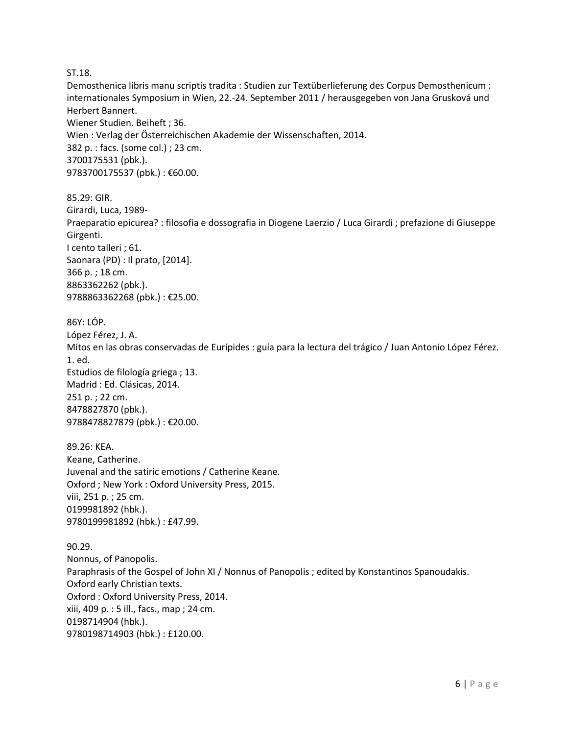#### ST.18.

Demosthenica libris manu scriptis tradita : Studien zur Textüberlieferung des Corpus Demosthenicum : internationales Symposium in Wien, 22.-24. September 2011 / herausgegeben von Jana Grusková und Herbert Bannert. Wiener Studien. Beiheft ; 36. Wien : Verlag der Österreichischen Akademie der Wissenschaften, 2014. 382 p. : facs. (some col.) ; 23 cm. 3700175531 (pbk.). 9783700175537 (pbk.) : €60.00.

85.29: GIR. Girardi, Luca, 1989- Praeparatio epicurea? : filosofia e dossografia in Diogene Laerzio / Luca Girardi ; prefazione di Giuseppe Girgenti. I cento talleri ; 61. Saonara (PD) : Il prato, [2014]. 366 p. ; 18 cm. 8863362262 (pbk.). 9788863362268 (pbk.) : €25.00.

86Y: LÓP. López Férez, J. A. Mitos en las obras conservadas de Eurípides : guía para la lectura del trágico / Juan Antonio López Férez. 1. ed. Estudios de filología griega ; 13. Madrid : Ed. Clásicas, 2014. 251 p. ; 22 cm. 8478827870 (pbk.). 9788478827879 (pbk.) : €20.00.

89.26: KEA. Keane, Catherine. Juvenal and the satiric emotions / Catherine Keane. Oxford ; New York : Oxford University Press, 2015. viii, 251 p. ; 25 cm. 0199981892 (hbk.). 9780199981892 (hbk.) : £47.99.

90.29. Nonnus, of Panopolis. Paraphrasis of the Gospel of John XI / Nonnus of Panopolis ; edited by Konstantinos Spanoudakis. Oxford early Christian texts. Oxford : Oxford University Press, 2014. xiii, 409 p. : 5 ill., facs., map ; 24 cm. 0198714904 (hbk.). 9780198714903 (hbk.) : £120.00.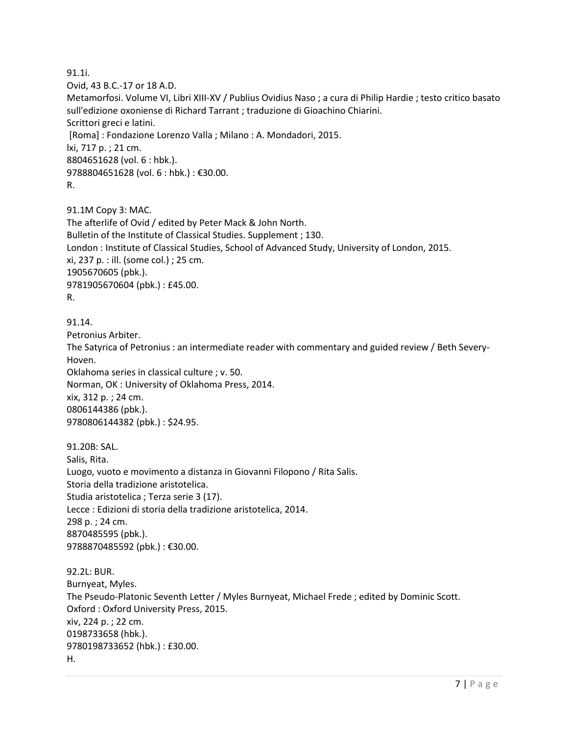91.1i. Ovid, 43 B.C.-17 or 18 A.D. Metamorfosi. Volume VI, Libri XIII-XV / Publius Ovidius Naso ; a cura di Philip Hardie ; testo critico basato sull'edizione oxoniense di Richard Tarrant ; traduzione di Gioachino Chiarini. Scrittori greci e latini. [Roma] : Fondazione Lorenzo Valla ; Milano : A. Mondadori, 2015. lxi, 717 p. ; 21 cm. 8804651628 (vol. 6 : hbk.). 9788804651628 (vol. 6 : hbk.) : €30.00. R.

91.1M Copy 3: MAC. The afterlife of Ovid / edited by Peter Mack & John North. Bulletin of the Institute of Classical Studies. Supplement ; 130. London : Institute of Classical Studies, School of Advanced Study, University of London, 2015. xi, 237 p. : ill. (some col.) ; 25 cm. 1905670605 (pbk.). 9781905670604 (pbk.) : £45.00. R.

91.14. Petronius Arbiter. The Satyrica of Petronius : an intermediate reader with commentary and guided review / Beth Severy-Hoven. Oklahoma series in classical culture ; v. 50. Norman, OK : University of Oklahoma Press, 2014. xix, 312 p. ; 24 cm. 0806144386 (pbk.). 9780806144382 (pbk.) : \$24.95.

91.20B: SAL. Salis, Rita. Luogo, vuoto e movimento a distanza in Giovanni Filopono / Rita Salis. Storia della tradizione aristotelica. Studia aristotelica ; Terza serie 3 (17). Lecce : Edizioni di storia della tradizione aristotelica, 2014. 298 p. ; 24 cm. 8870485595 (pbk.). 9788870485592 (pbk.) : €30.00.

92.2L: BUR. Burnyeat, Myles. The Pseudo-Platonic Seventh Letter / Myles Burnyeat, Michael Frede ; edited by Dominic Scott. Oxford : Oxford University Press, 2015. xiv, 224 p. ; 22 cm. 0198733658 (hbk.). 9780198733652 (hbk.) : £30.00. H.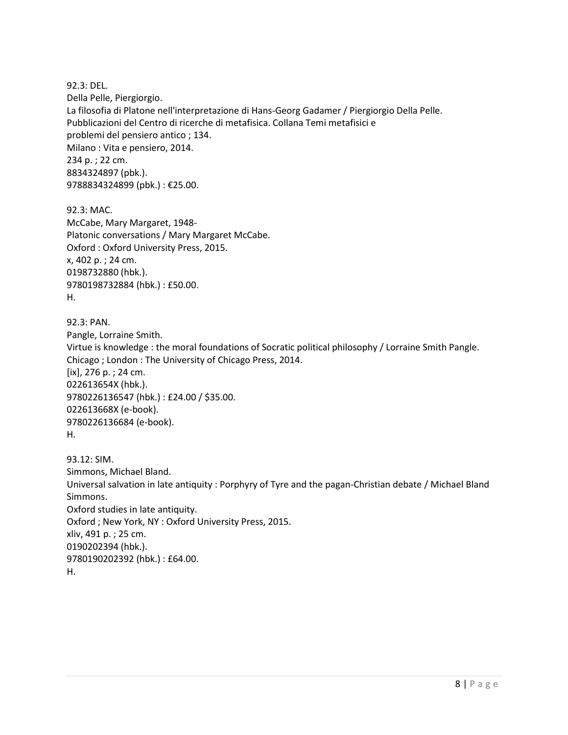92.3: DEL. Della Pelle, Piergiorgio. La filosofia di Platone nell'interpretazione di Hans-Georg Gadamer / Piergiorgio Della Pelle. Pubblicazioni del Centro di ricerche di metafisica. Collana Temi metafisici e problemi del pensiero antico ; 134. Milano : Vita e pensiero, 2014. 234 p. ; 22 cm. 8834324897 (pbk.). 9788834324899 (pbk.) : €25.00.

92.3: MAC. McCabe, Mary Margaret, 1948- Platonic conversations / Mary Margaret McCabe. Oxford : Oxford University Press, 2015. x, 402 p. ; 24 cm. 0198732880 (hbk.). 9780198732884 (hbk.) : £50.00. H.

92.3: PAN. Pangle, Lorraine Smith. Virtue is knowledge : the moral foundations of Socratic political philosophy / Lorraine Smith Pangle. Chicago ; London : The University of Chicago Press, 2014. [ix], 276 p. ; 24 cm. 022613654X (hbk.). 9780226136547 (hbk.) : £24.00 / \$35.00. 022613668X (e-book). 9780226136684 (e-book). H.

93.12: SIM. Simmons, Michael Bland. Universal salvation in late antiquity : Porphyry of Tyre and the pagan-Christian debate / Michael Bland Simmons. Oxford studies in late antiquity. Oxford ; New York, NY : Oxford University Press, 2015. xliv, 491 p. ; 25 cm. 0190202394 (hbk.). 9780190202392 (hbk.) : £64.00. H.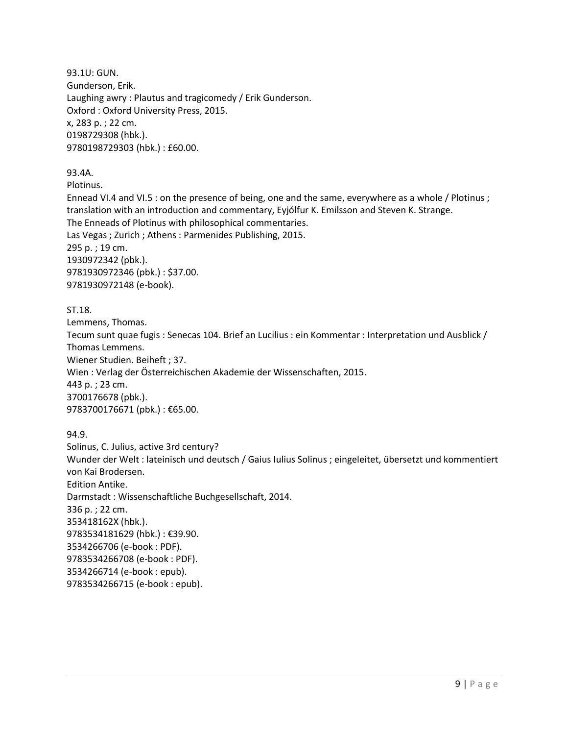93.1U: GUN. Gunderson, Erik. Laughing awry : Plautus and tragicomedy / Erik Gunderson. Oxford : Oxford University Press, 2015. x, 283 p. ; 22 cm. 0198729308 (hbk.). 9780198729303 (hbk.) : £60.00.

93.4A.

Plotinus.

Ennead VI.4 and VI.5 : on the presence of being, one and the same, everywhere as a whole / Plotinus ; translation with an introduction and commentary, Eyjólfur K. Emilsson and Steven K. Strange. The Enneads of Plotinus with philosophical commentaries. Las Vegas ; Zurich ; Athens : Parmenides Publishing, 2015. 295 p. ; 19 cm. 1930972342 (pbk.). 9781930972346 (pbk.) : \$37.00. 9781930972148 (e-book).

#### ST.18.

Lemmens, Thomas. Tecum sunt quae fugis : Senecas 104. Brief an Lucilius : ein Kommentar : Interpretation und Ausblick / Thomas Lemmens. Wiener Studien. Beiheft ; 37. Wien : Verlag der Österreichischen Akademie der Wissenschaften, 2015. 443 p. ; 23 cm. 3700176678 (pbk.). 9783700176671 (pbk.) : €65.00.

94.9.

Solinus, C. Julius, active 3rd century? Wunder der Welt : lateinisch und deutsch / Gaius Iulius Solinus ; eingeleitet, übersetzt und kommentiert von Kai Brodersen. Edition Antike. Darmstadt : Wissenschaftliche Buchgesellschaft, 2014. 336 p. ; 22 cm. 353418162X (hbk.). 9783534181629 (hbk.) : €39.90. 3534266706 (e-book : PDF). 9783534266708 (e-book : PDF). 3534266714 (e-book : epub). 9783534266715 (e-book : epub).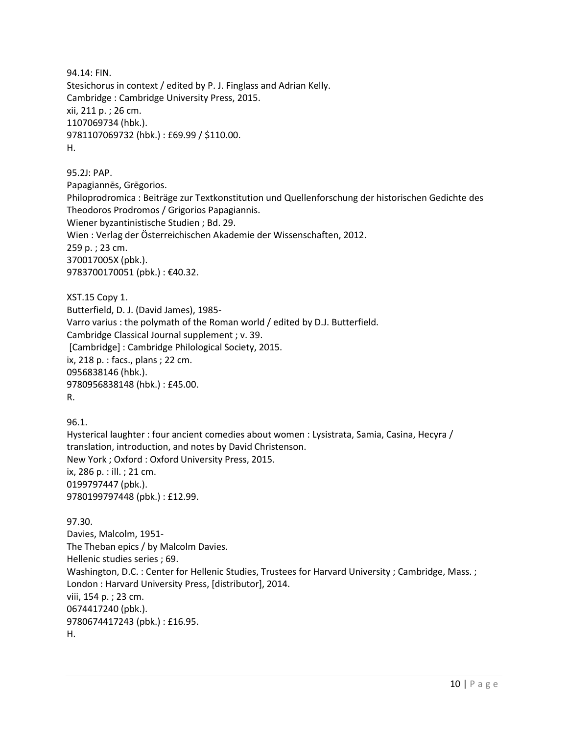94.14: FIN. Stesichorus in context / edited by P. J. Finglass and Adrian Kelly. Cambridge : Cambridge University Press, 2015. xii, 211 p. ; 26 cm. 1107069734 (hbk.). 9781107069732 (hbk.) : £69.99 / \$110.00. H.

95.2J: PAP. Papagiannēs, Grēgorios. Philoprodromica : Beiträge zur Textkonstitution und Quellenforschung der historischen Gedichte des Theodoros Prodromos / Grigorios Papagiannis. Wiener byzantinistische Studien ; Bd. 29. Wien : Verlag der Österreichischen Akademie der Wissenschaften, 2012. 259 p. ; 23 cm. 370017005X (pbk.). 9783700170051 (pbk.) : €40.32.

XST.15 Copy 1. Butterfield, D. J. (David James), 1985- Varro varius : the polymath of the Roman world / edited by D.J. Butterfield. Cambridge Classical Journal supplement ; v. 39. [Cambridge] : Cambridge Philological Society, 2015. ix, 218 p. : facs., plans ; 22 cm. 0956838146 (hbk.). 9780956838148 (hbk.) : £45.00. R.

96.1. Hysterical laughter : four ancient comedies about women : Lysistrata, Samia, Casina, Hecyra / translation, introduction, and notes by David Christenson. New York ; Oxford : Oxford University Press, 2015. ix, 286 p. : ill. ; 21 cm. 0199797447 (pbk.). 9780199797448 (pbk.) : £12.99.

97.30. Davies, Malcolm, 1951- The Theban epics / by Malcolm Davies. Hellenic studies series ; 69. Washington, D.C. : Center for Hellenic Studies, Trustees for Harvard University ; Cambridge, Mass. ; London : Harvard University Press, [distributor], 2014. viii, 154 p. ; 23 cm. 0674417240 (pbk.). 9780674417243 (pbk.) : £16.95. H.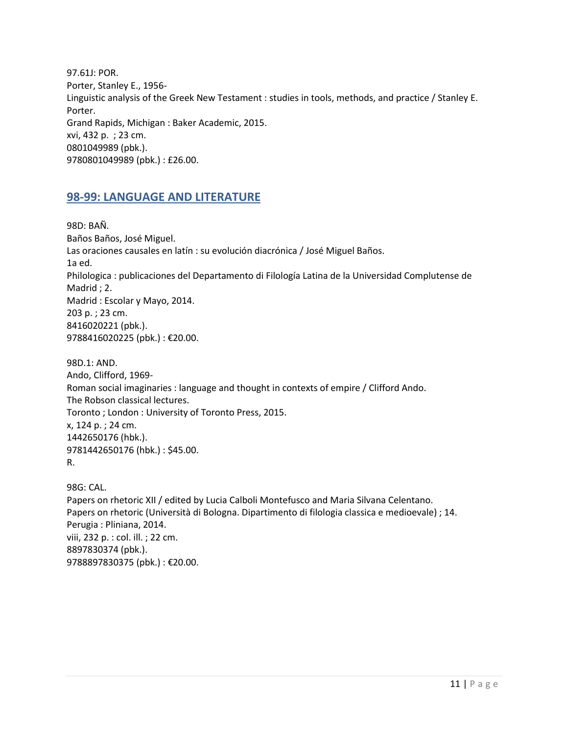97.61J: POR. Porter, Stanley E., 1956- Linguistic analysis of the Greek New Testament : studies in tools, methods, and practice / Stanley E. Porter. Grand Rapids, Michigan : Baker Academic, 2015. xvi, 432 p. ; 23 cm. 0801049989 (pbk.). 9780801049989 (pbk.) : £26.00.

## <span id="page-10-0"></span>**98-99: LANGUAGE AND LITERATURE**

98D: BAÑ. Baños Baños, José Miguel. Las oraciones causales en latín : su evolución diacrónica / José Miguel Baños. 1a ed. Philologica : publicaciones del Departamento di Filología Latina de la Universidad Complutense de Madrid ; 2. Madrid : Escolar y Mayo, 2014. 203 p. ; 23 cm. 8416020221 (pbk.). 9788416020225 (pbk.) : €20.00.

98D.1: AND. Ando, Clifford, 1969- Roman social imaginaries : language and thought in contexts of empire / Clifford Ando. The Robson classical lectures. Toronto ; London : University of Toronto Press, 2015. x, 124 p. ; 24 cm. 1442650176 (hbk.). 9781442650176 (hbk.) : \$45.00. R.

98G: CAL. Papers on rhetoric XII / edited by Lucia Calboli Montefusco and Maria Silvana Celentano. Papers on rhetoric (Università di Bologna. Dipartimento di filologia classica e medioevale) ; 14. Perugia : Pliniana, 2014. viii, 232 p. : col. ill. ; 22 cm. 8897830374 (pbk.). 9788897830375 (pbk.) : €20.00.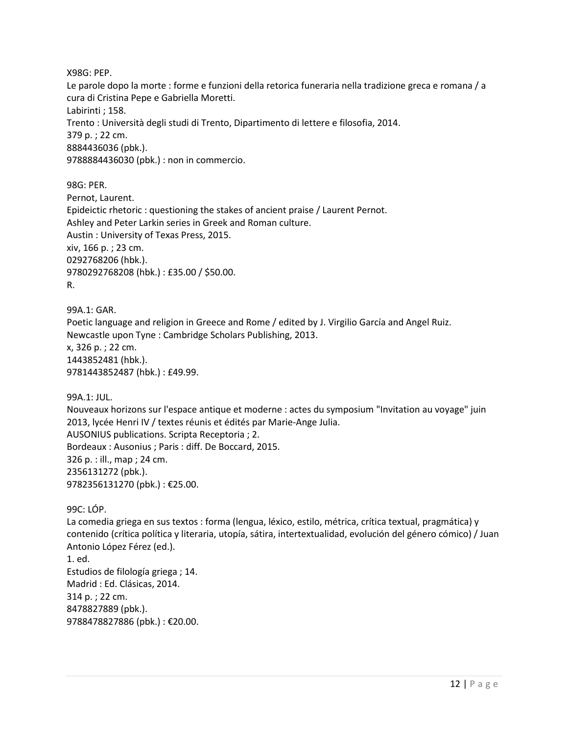X98G: PEP.

Le parole dopo la morte : forme e funzioni della retorica funeraria nella tradizione greca e romana / a cura di Cristina Pepe e Gabriella Moretti. Labirinti ; 158. Trento : Università degli studi di Trento, Dipartimento di lettere e filosofia, 2014. 379 p. ; 22 cm. 8884436036 (pbk.). 9788884436030 (pbk.) : non in commercio.

98G: PER. Pernot, Laurent. Epideictic rhetoric : questioning the stakes of ancient praise / Laurent Pernot. Ashley and Peter Larkin series in Greek and Roman culture. Austin : University of Texas Press, 2015. xiv, 166 p. ; 23 cm. 0292768206 (hbk.). 9780292768208 (hbk.) : £35.00 / \$50.00. R.

99A.1: GAR. Poetic language and religion in Greece and Rome / edited by J. Virgilio García and Angel Ruiz. Newcastle upon Tyne : Cambridge Scholars Publishing, 2013. x, 326 p. ; 22 cm. 1443852481 (hbk.). 9781443852487 (hbk.) : £49.99.

99A.1: JUL. Nouveaux horizons sur l'espace antique et moderne : actes du symposium "Invitation au voyage" juin 2013, lycée Henri IV / textes réunis et édités par Marie-Ange Julia. AUSONIUS publications. Scripta Receptoria ; 2. Bordeaux : Ausonius ; Paris : diff. De Boccard, 2015. 326 p. : ill., map ; 24 cm. 2356131272 (pbk.). 9782356131270 (pbk.) : €25.00.

99C: LÓP.

La comedia griega en sus textos : forma (lengua, léxico, estilo, métrica, crítica textual, pragmática) y contenido (crítica política y literaria, utopía, sátira, intertextualidad, evolución del género cómico) / Juan Antonio López Férez (ed.). 1. ed. Estudios de filología griega ; 14. Madrid : Ed. Clásicas, 2014. 314 p. ; 22 cm. 8478827889 (pbk.). 9788478827886 (pbk.) : €20.00.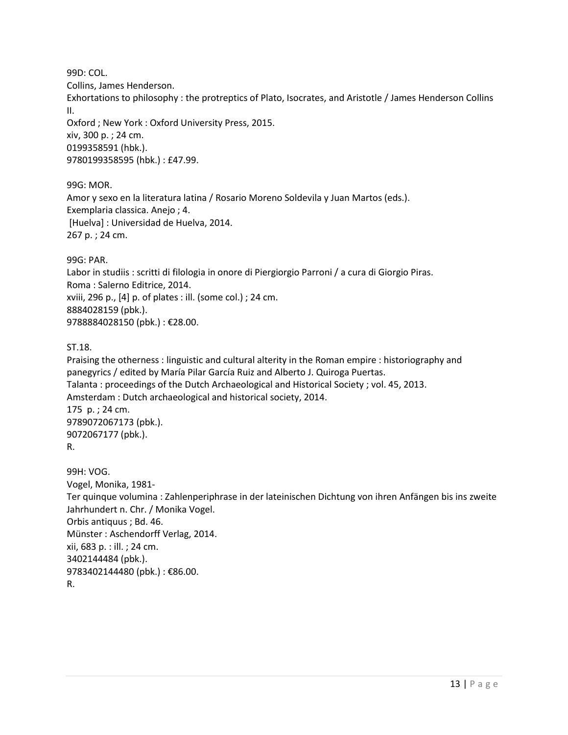99D: COL.

Collins, James Henderson.

Exhortations to philosophy : the protreptics of Plato, Isocrates, and Aristotle / James Henderson Collins II.

Oxford ; New York : Oxford University Press, 2015. xiv, 300 p. ; 24 cm. 0199358591 (hbk.). 9780199358595 (hbk.) : £47.99.

99G: MOR.

Amor y sexo en la literatura latina / Rosario Moreno Soldevila y Juan Martos (eds.). Exemplaria classica. Anejo ; 4. [Huelva] : Universidad de Huelva, 2014. 267 p. ; 24 cm.

99G: PAR.

Labor in studiis : scritti di filologia in onore di Piergiorgio Parroni / a cura di Giorgio Piras. Roma : Salerno Editrice, 2014. xviii, 296 p., [4] p. of plates : ill. (some col.) ; 24 cm. 8884028159 (pbk.). 9788884028150 (pbk.) : €28.00.

ST.18.

Praising the otherness : linguistic and cultural alterity in the Roman empire : historiography and panegyrics / edited by María Pilar García Ruiz and Alberto J. Quiroga Puertas. Talanta : proceedings of the Dutch Archaeological and Historical Society ; vol. 45, 2013. Amsterdam : Dutch archaeological and historical society, 2014. 175 p. ; 24 cm. 9789072067173 (pbk.). 9072067177 (pbk.). R. 99H: VOG. Vogel, Monika, 1981-

Ter quinque volumina : Zahlenperiphrase in der lateinischen Dichtung von ihren Anfängen bis ins zweite Jahrhundert n. Chr. / Monika Vogel. Orbis antiquus ; Bd. 46. Münster : Aschendorff Verlag, 2014. xii, 683 p. : ill. ; 24 cm.

3402144484 (pbk.). 9783402144480 (pbk.) : €86.00.

R.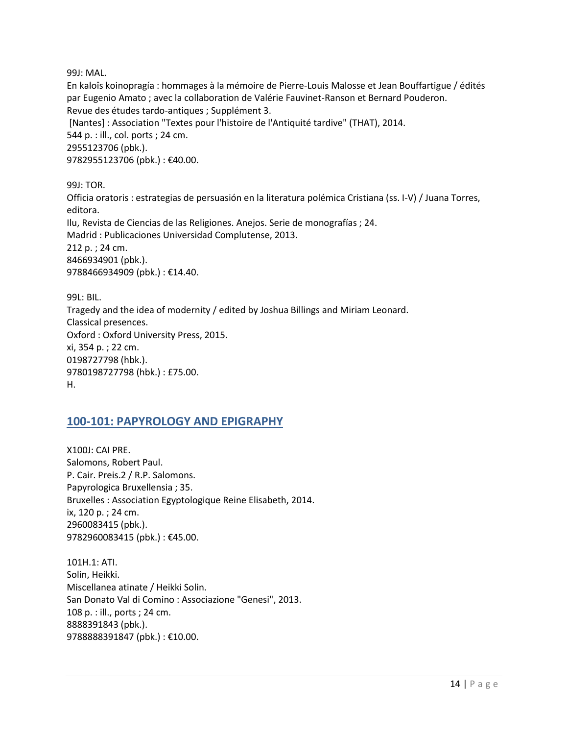99J: MAL.

En kaloîs koinopragía : hommages à la mémoire de Pierre-Louis Malosse et Jean Bouffartigue / édités par Eugenio Amato ; avec la collaboration de Valérie Fauvinet-Ranson et Bernard Pouderon. Revue des études tardo-antiques ; Supplément 3. [Nantes] : Association "Textes pour l'histoire de l'Antiquité tardive" (THAT), 2014. 544 p. : ill., col. ports ; 24 cm. 2955123706 (pbk.). 9782955123706 (pbk.) : €40.00.

99J: TOR. Officia oratoris : estrategias de persuasión en la literatura polémica Cristiana (ss. I-V) / Juana Torres, editora. Ilu, Revista de Ciencias de las Religiones. Anejos. Serie de monografías ; 24. Madrid : Publicaciones Universidad Complutense, 2013. 212 p. ; 24 cm. 8466934901 (pbk.). 9788466934909 (pbk.) : €14.40.

99L: BIL. Tragedy and the idea of modernity / edited by Joshua Billings and Miriam Leonard. Classical presences. Oxford : Oxford University Press, 2015. xi, 354 p. ; 22 cm. 0198727798 (hbk.). 9780198727798 (hbk.) : £75.00. H.

## <span id="page-13-0"></span>**100-101: PAPYROLOGY AND EPIGRAPHY**

X100J: CAI PRE. Salomons, Robert Paul. P. Cair. Preis.2 / R.P. Salomons. Papyrologica Bruxellensia ; 35. Bruxelles : Association Egyptologique Reine Elisabeth, 2014. ix, 120 p. ; 24 cm. 2960083415 (pbk.). 9782960083415 (pbk.) : €45.00.

101H.1: ATI. Solin, Heikki. Miscellanea atinate / Heikki Solin. San Donato Val di Comino : Associazione "Genesi", 2013. 108 p. : ill., ports ; 24 cm. 8888391843 (pbk.). 9788888391847 (pbk.) : €10.00.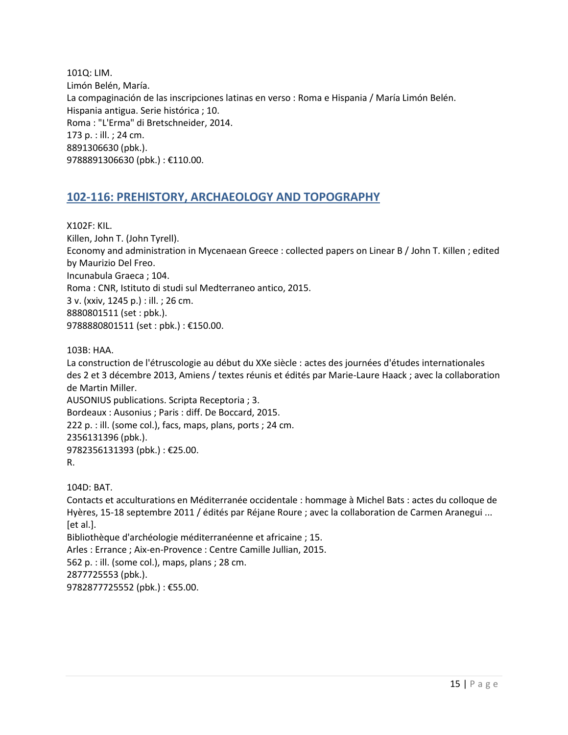101Q: LIM. Limón Belén, María. La compaginación de las inscripciones latinas en verso : Roma e Hispania / María Limón Belén. Hispania antigua. Serie histórica ; 10. Roma : "L'Erma" di Bretschneider, 2014. 173 p. : ill. ; 24 cm. 8891306630 (pbk.). 9788891306630 (pbk.) : €110.00.

## <span id="page-14-0"></span>**102-116: PREHISTORY, ARCHAEOLOGY AND TOPOGRAPHY**

X102F: KIL. Killen, John T. (John Tyrell). Economy and administration in Mycenaean Greece : collected papers on Linear B / John T. Killen ; edited by Maurizio Del Freo. Incunabula Graeca ; 104. Roma : CNR, Istituto di studi sul Medterraneo antico, 2015. 3 v. (xxiv, 1245 p.) : ill. ; 26 cm. 8880801511 (set : pbk.). 9788880801511 (set : pbk.) : €150.00.

103B: HAA.

La construction de l'étruscologie au début du XXe siècle : actes des journées d'études internationales des 2 et 3 décembre 2013, Amiens / textes réunis et édités par Marie-Laure Haack ; avec la collaboration de Martin Miller. AUSONIUS publications. Scripta Receptoria ; 3.

Bordeaux : Ausonius ; Paris : diff. De Boccard, 2015. 222 p. : ill. (some col.), facs, maps, plans, ports ; 24 cm. 2356131396 (pbk.). 9782356131393 (pbk.) : €25.00. R.

104D: BAT. Contacts et acculturations en Méditerranée occidentale : hommage à Michel Bats : actes du colloque de Hyères, 15-18 septembre 2011 / édités par Réjane Roure ; avec la collaboration de Carmen Aranegui ... [et al.]. Bibliothèque d'archéologie méditerranéenne et africaine ; 15. Arles : Errance ; Aix-en-Provence : Centre Camille Jullian, 2015. 562 p. : ill. (some col.), maps, plans ; 28 cm. 2877725553 (pbk.). 9782877725552 (pbk.) : €55.00.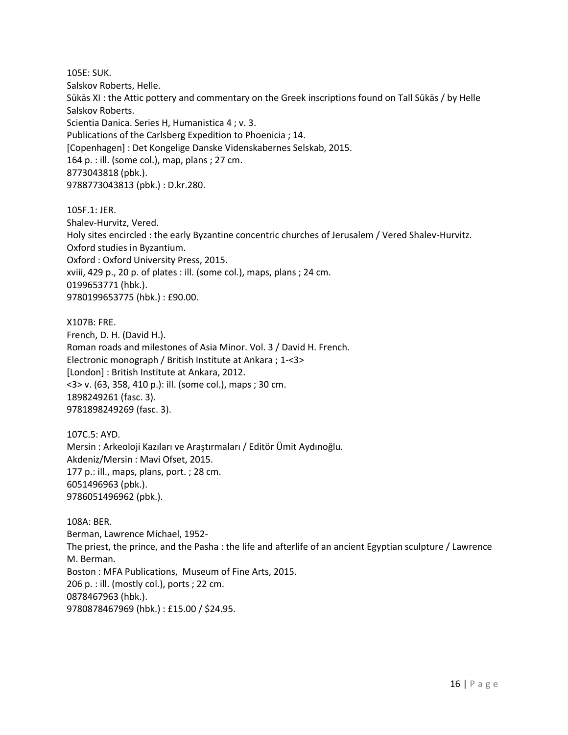105E: SUK. Salskov Roberts, Helle. Sūkās XI : the Attic pottery and commentary on the Greek inscriptions found on Tall Sūkās / by Helle Salskov Roberts. Scientia Danica. Series H, Humanistica 4 ; v. 3. Publications of the Carlsberg Expedition to Phoenicia ; 14. [Copenhagen] : Det Kongelige Danske Videnskabernes Selskab, 2015. 164 p. : ill. (some col.), map, plans ; 27 cm. 8773043818 (pbk.). 9788773043813 (pbk.) : D.kr.280.

105F.1: JER. Shalev-Hurvitz, Vered. Holy sites encircled : the early Byzantine concentric churches of Jerusalem / Vered Shalev-Hurvitz. Oxford studies in Byzantium. Oxford : Oxford University Press, 2015. xviii, 429 p., 20 p. of plates : ill. (some col.), maps, plans ; 24 cm. 0199653771 (hbk.). 9780199653775 (hbk.) : £90.00.

X107B: FRE. French, D. H. (David H.). Roman roads and milestones of Asia Minor. Vol. 3 / David H. French. Electronic monograph / British Institute at Ankara ; 1-<3> [London] : British Institute at Ankara, 2012. <3> v. (63, 358, 410 p.): ill. (some col.), maps ; 30 cm. 1898249261 (fasc. 3). 9781898249269 (fasc. 3).

107C.5: AYD. Mersin : Arkeoloji Kazıları ve Araştırmaları / Editör Ümit Aydınoğlu. Akdeniz/Mersin : Mavi Ofset, 2015. 177 p.: ill., maps, plans, port. ; 28 cm. 6051496963 (pbk.). 9786051496962 (pbk.).

108A: BER. Berman, Lawrence Michael, 1952- The priest, the prince, and the Pasha : the life and afterlife of an ancient Egyptian sculpture / Lawrence M. Berman. Boston : MFA Publications, Museum of Fine Arts, 2015. 206 p. : ill. (mostly col.), ports ; 22 cm. 0878467963 (hbk.). 9780878467969 (hbk.) : £15.00 / \$24.95.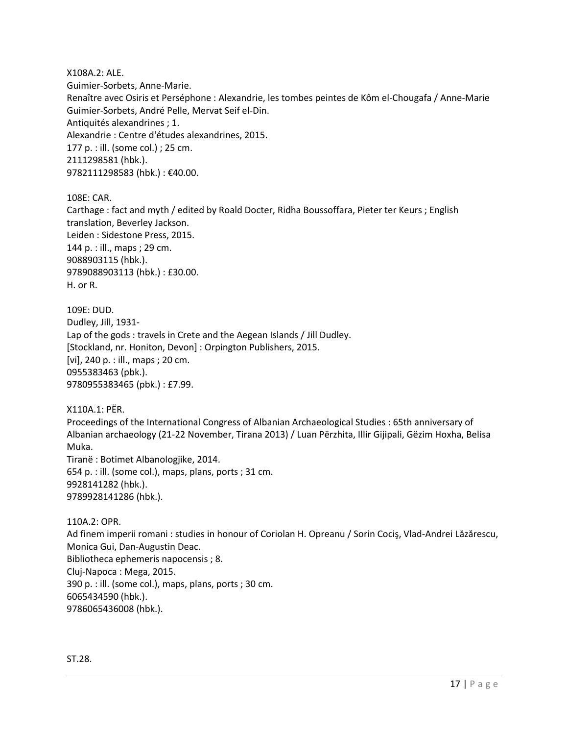X108A.2: ALE. Guimier-Sorbets, Anne-Marie. Renaître avec Osiris et Perséphone : Alexandrie, les tombes peintes de Kôm el-Chougafa / Anne-Marie Guimier-Sorbets, André Pelle, Mervat Seif el-Din. Antiquités alexandrines ; 1. Alexandrie : Centre d'études alexandrines, 2015. 177 p. : ill. (some col.) ; 25 cm. 2111298581 (hbk.). 9782111298583 (hbk.) : €40.00.

108E: CAR.

Carthage : fact and myth / edited by Roald Docter, Ridha Boussoffara, Pieter ter Keurs ; English translation, Beverley Jackson. Leiden : Sidestone Press, 2015. 144 p. : ill., maps ; 29 cm. 9088903115 (hbk.). 9789088903113 (hbk.) : £30.00. H. or R.

109E: DUD. Dudley, Jill, 1931- Lap of the gods : travels in Crete and the Aegean Islands / Jill Dudley. [Stockland, nr. Honiton, Devon] : Orpington Publishers, 2015. [vi], 240 p. : ill., maps ; 20 cm. 0955383463 (pbk.). 9780955383465 (pbk.) : £7.99.

X110A.1: PËR. Proceedings of the International Congress of Albanian Archaeological Studies : 65th anniversary of Albanian archaeology (21-22 November, Tirana 2013) / Luan Përzhita, Illir Gijipali, Gëzim Hoxha, Belisa Muka. Tiranë : Botimet Albanologjike, 2014. 654 p. : ill. (some col.), maps, plans, ports ; 31 cm. 9928141282 (hbk.). 9789928141286 (hbk.).

110A.2: OPR.

Ad finem imperii romani : studies in honour of Coriolan H. Opreanu / Sorin Cociş, Vlad-Andrei Lăzărescu, Monica Gui, Dan-Augustin Deac. Bibliotheca ephemeris napocensis ; 8. Cluj-Napoca : Mega, 2015. 390 p. : ill. (some col.), maps, plans, ports ; 30 cm. 6065434590 (hbk.). 9786065436008 (hbk.).

ST.28.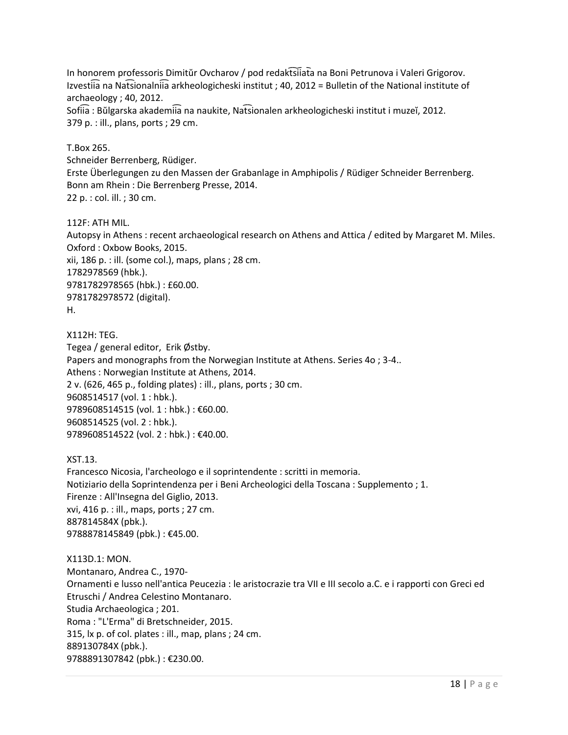In honorem professoris Dimitŭr Ovcharov / pod redaktsiiata na Boni Petrunova i Valeri Grigorov. Izvestiia na Natsionalniia arkheologicheski institut ; 40, 2012 = Bulletin of the National institute of archaeology ; 40, 2012.

Sofiia : Bŭlgarska akademiia na naukite, Natsionalen arkheologicheski institut i muzeĭ, 2012. 379 p. : ill., plans, ports ; 29 cm.

T.Box 265.

Schneider Berrenberg, Rüdiger. Erste Überlegungen zu den Massen der Grabanlage in Amphipolis / Rüdiger Schneider Berrenberg. Bonn am Rhein : Die Berrenberg Presse, 2014. 22 p. : col. ill. ; 30 cm.

112F: ATH MIL.

Autopsy in Athens : recent archaeological research on Athens and Attica / edited by Margaret M. Miles. Oxford : Oxbow Books, 2015. xii, 186 p. : ill. (some col.), maps, plans ; 28 cm. 1782978569 (hbk.). 9781782978565 (hbk.) : £60.00. 9781782978572 (digital). H.

X112H: TEG. Tegea / general editor, Erik Østby. Papers and monographs from the Norwegian Institute at Athens. Series 4o ; 3-4.. Athens : Norwegian Institute at Athens, 2014. 2 v. (626, 465 p., folding plates) : ill., plans, ports ; 30 cm. 9608514517 (vol. 1 : hbk.). 9789608514515 (vol. 1 : hbk.) : €60.00. 9608514525 (vol. 2 : hbk.). 9789608514522 (vol. 2 : hbk.) : €40.00.

XST.13.

Francesco Nicosia, l'archeologo e il soprintendente : scritti in memoria. Notiziario della Soprintendenza per i Beni Archeologici della Toscana : Supplemento ; 1. Firenze : All'Insegna del Giglio, 2013. xvi, 416 p. : ill., maps, ports ; 27 cm. 887814584X (pbk.). 9788878145849 (pbk.): €45.00.

X113D.1: MON. Montanaro, Andrea C., 1970- Ornamenti e lusso nell'antica Peucezia : le aristocrazie tra VII e III secolo a.C. e i rapporti con Greci ed Etruschi / Andrea Celestino Montanaro. Studia Archaeologica ; 201. Roma : "L'Erma" di Bretschneider, 2015. 315, lx p. of col. plates : ill., map, plans ; 24 cm. 889130784X (pbk.). 9788891307842 (pbk.) : €230.00.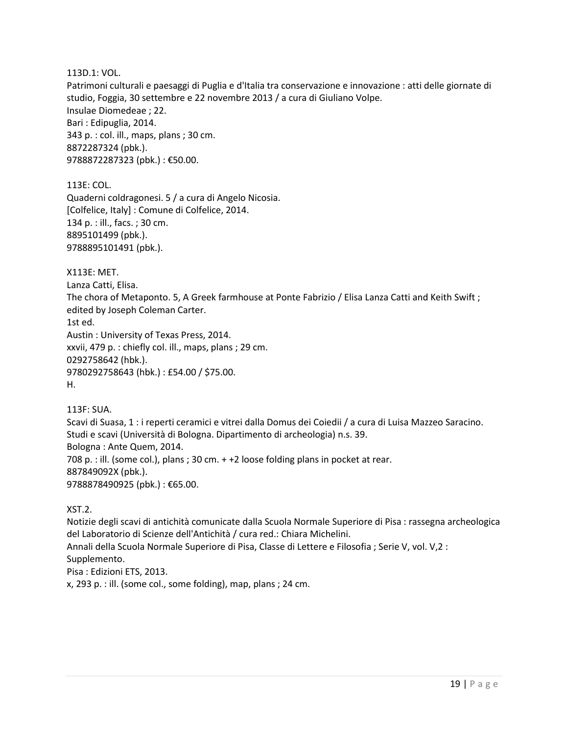#### 113D.1: VOL.

Patrimoni culturali e paesaggi di Puglia e d'Italia tra conservazione e innovazione : atti delle giornate di studio, Foggia, 30 settembre e 22 novembre 2013 / a cura di Giuliano Volpe. Insulae Diomedeae ; 22. Bari : Edipuglia, 2014. 343 p. : col. ill., maps, plans ; 30 cm. 8872287324 (pbk.). 9788872287323 (pbk.) : €50.00.

113E: COL.

Quaderni coldragonesi. 5 / a cura di Angelo Nicosia. [Colfelice, Italy] : Comune di Colfelice, 2014. 134 p. : ill., facs. ; 30 cm. 8895101499 (pbk.). 9788895101491 (pbk.).

X113E: MET.

Lanza Catti, Elisa.

The chora of Metaponto. 5, A Greek farmhouse at Ponte Fabrizio / Elisa Lanza Catti and Keith Swift ; edited by Joseph Coleman Carter.

1st ed.

Austin : University of Texas Press, 2014. xxvii, 479 p. : chiefly col. ill., maps, plans ; 29 cm. 0292758642 (hbk.). 9780292758643 (hbk.) : £54.00 / \$75.00. H.

113F: SUA.

Scavi di Suasa, 1 : i reperti ceramici e vitrei dalla Domus dei Coiedii / a cura di Luisa Mazzeo Saracino. Studi e scavi (Università di Bologna. Dipartimento di archeologia) n.s. 39. Bologna : Ante Quem, 2014. 708 p. : ill. (some col.), plans ; 30 cm. + +2 loose folding plans in pocket at rear. 887849092X (pbk.). 9788878490925 (pbk.) : €65.00.

XST.2.

Notizie degli scavi di antichità comunicate dalla Scuola Normale Superiore di Pisa : rassegna archeologica del Laboratorio di Scienze dell'Antichità / cura red.: Chiara Michelini. Annali della Scuola Normale Superiore di Pisa, Classe di Lettere e Filosofia ; Serie V, vol. V,2 : Supplemento. Pisa : Edizioni ETS, 2013.

x, 293 p. : ill. (some col., some folding), map, plans ; 24 cm.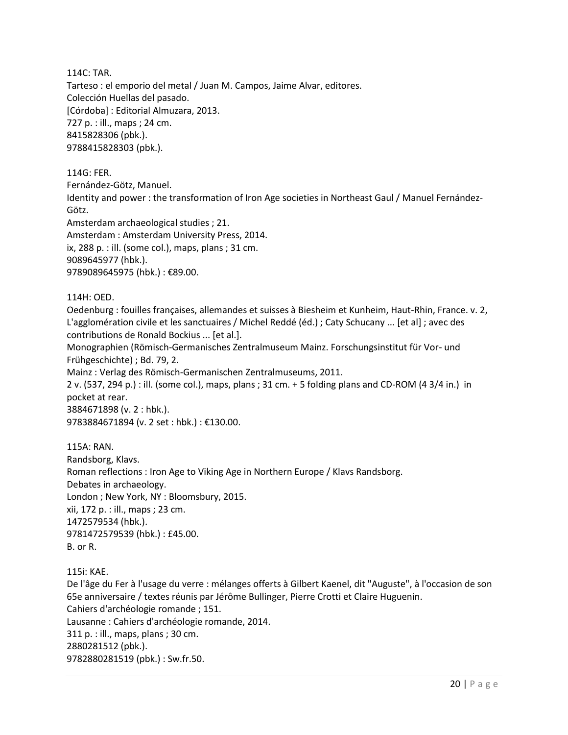114C: TAR.

Tarteso : el emporio del metal / Juan M. Campos, Jaime Alvar, editores. Colección Huellas del pasado. [Córdoba] : Editorial Almuzara, 2013. 727 p. : ill., maps ; 24 cm. 8415828306 (pbk.). 9788415828303 (pbk.).

114G: FER.

Fernández-Götz, Manuel.

Identity and power : the transformation of Iron Age societies in Northeast Gaul / Manuel Fernández-Götz.

Amsterdam archaeological studies ; 21.

Amsterdam : Amsterdam University Press, 2014.

ix, 288 p. : ill. (some col.), maps, plans ; 31 cm.

9089645977 (hbk.).

9789089645975 (hbk.) : €89.00.

114H: OED.

Oedenburg : fouilles françaises, allemandes et suisses à Biesheim et Kunheim, Haut-Rhin, France. v. 2, L'agglomération civile et les sanctuaires / Michel Reddé (éd.) ; Caty Schucany ... [et al] ; avec des contributions de Ronald Bockius ... [et al.].

Monographien (Römisch-Germanisches Zentralmuseum Mainz. Forschungsinstitut für Vor- und Frühgeschichte) ; Bd. 79, 2.

Mainz : Verlag des Römisch-Germanischen Zentralmuseums, 2011.

2 v. (537, 294 p.) : ill. (some col.), maps, plans ; 31 cm. + 5 folding plans and CD-ROM (4 3/4 in.) in pocket at rear. 3884671898 (v. 2 : hbk.).

9783884671894 (v. 2 set : hbk.) : €130.00.

115A: RAN. Randsborg, Klavs. Roman reflections : Iron Age to Viking Age in Northern Europe / Klavs Randsborg. Debates in archaeology. London ; New York, NY : Bloomsbury, 2015. xii, 172 p. : ill., maps ; 23 cm. 1472579534 (hbk.). 9781472579539 (hbk.) : £45.00. B. or R.

115i: KAE.

De l'âge du Fer à l'usage du verre : mélanges offerts à Gilbert Kaenel, dit "Auguste", à l'occasion de son 65e anniversaire / textes réunis par Jérôme Bullinger, Pierre Crotti et Claire Huguenin. Cahiers d'archéologie romande ; 151. Lausanne : Cahiers d'archéologie romande, 2014. 311 p. : ill., maps, plans ; 30 cm. 2880281512 (pbk.). 9782880281519 (pbk.) : Sw.fr.50.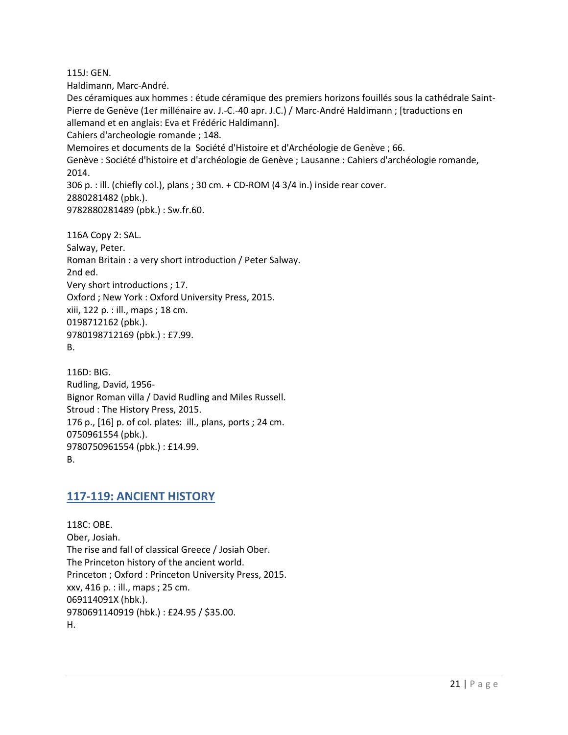115J: GEN.

Haldimann, Marc-André.

Des céramiques aux hommes : étude céramique des premiers horizons fouillés sous la cathédrale Saint-Pierre de Genève (1er millénaire av. J.-C.-40 apr. J.C.) / Marc-André Haldimann ; [traductions en allemand et en anglais: Eva et Frédéric Haldimann].

Cahiers d'archeologie romande ; 148.

Memoires et documents de la Société d'Histoire et d'Archéologie de Genève ; 66.

Genève : Société d'histoire et d'archéologie de Genève ; Lausanne : Cahiers d'archéologie romande, 2014.

306 p. : ill. (chiefly col.), plans ; 30 cm. + CD-ROM (4 3/4 in.) inside rear cover.

```
2880281482 (pbk.).
```
9782880281489 (pbk.) : Sw.fr.60.

116A Copy 2: SAL. Salway, Peter. Roman Britain : a very short introduction / Peter Salway. 2nd ed. Very short introductions ; 17. Oxford ; New York : Oxford University Press, 2015. xiii, 122 p. : ill., maps ; 18 cm. 0198712162 (pbk.). 9780198712169 (pbk.) : £7.99. B.

116D: BIG. Rudling, David, 1956- Bignor Roman villa / David Rudling and Miles Russell. Stroud : The History Press, 2015. 176 p., [16] p. of col. plates: ill., plans, ports ; 24 cm. 0750961554 (pbk.). 9780750961554 (pbk.) : £14.99. B.

## <span id="page-20-0"></span>**117-119: ANCIENT HISTORY**

118C: OBE. Ober, Josiah. The rise and fall of classical Greece / Josiah Ober. The Princeton history of the ancient world. Princeton ; Oxford : Princeton University Press, 2015. xxv, 416 p. : ill., maps ; 25 cm. 069114091X (hbk.). 9780691140919 (hbk.) : £24.95 / \$35.00. H.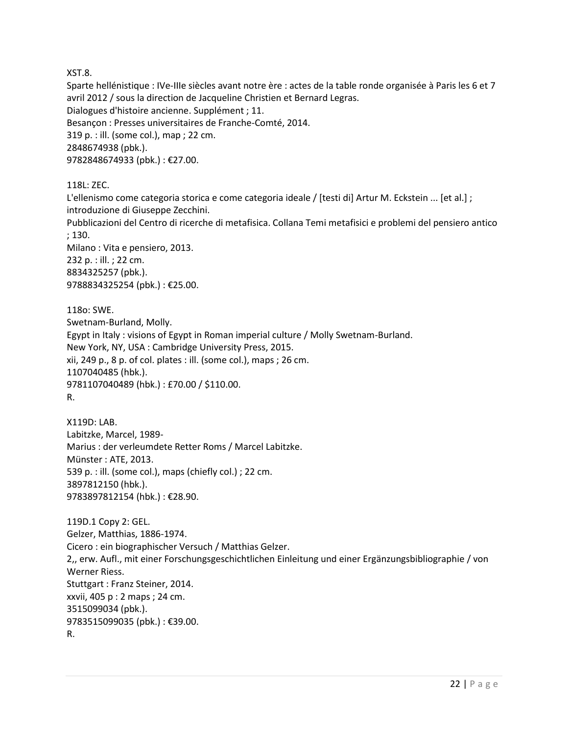XST.8.

Sparte hellénistique : IVe-IIIe siècles avant notre ère : actes de la table ronde organisée à Paris les 6 et 7 avril 2012 / sous la direction de Jacqueline Christien et Bernard Legras. Dialogues d'histoire ancienne. Supplément ; 11. Besançon : Presses universitaires de Franche-Comté, 2014. 319 p. : ill. (some col.), map ; 22 cm. 2848674938 (pbk.). 9782848674933 (pbk.) : €27.00.

118L: ZEC.

L'ellenismo come categoria storica e come categoria ideale / [testi di] Artur M. Eckstein ... [et al.] ; introduzione di Giuseppe Zecchini.

Pubblicazioni del Centro di ricerche di metafisica. Collana Temi metafisici e problemi del pensiero antico ; 130.

Milano : Vita e pensiero, 2013. 232 p. : ill. ; 22 cm. 8834325257 (pbk.). 9788834325254 (pbk.) : €25.00.

118o: SWE. Swetnam-Burland, Molly. Egypt in Italy : visions of Egypt in Roman imperial culture / Molly Swetnam-Burland. New York, NY, USA : Cambridge University Press, 2015. xii, 249 p., 8 p. of col. plates : ill. (some col.), maps ; 26 cm. 1107040485 (hbk.). 9781107040489 (hbk.) : £70.00 / \$110.00. R.

X119D: LAB. Labitzke, Marcel, 1989- Marius : der verleumdete Retter Roms / Marcel Labitzke. Münster : ATE, 2013. 539 p. : ill. (some col.), maps (chiefly col.) ; 22 cm. 3897812150 (hbk.). 9783897812154 (hbk.) : €28.90.

119D.1 Copy 2: GEL. Gelzer, Matthias, 1886-1974. Cicero : ein biographischer Versuch / Matthias Gelzer. 2,, erw. Aufl., mit einer Forschungsgeschichtlichen Einleitung und einer Ergänzungsbibliographie / von Werner Riess. Stuttgart : Franz Steiner, 2014. xxvii, 405 p : 2 maps ; 24 cm. 3515099034 (pbk.). 9783515099035 (pbk.) : €39.00. R.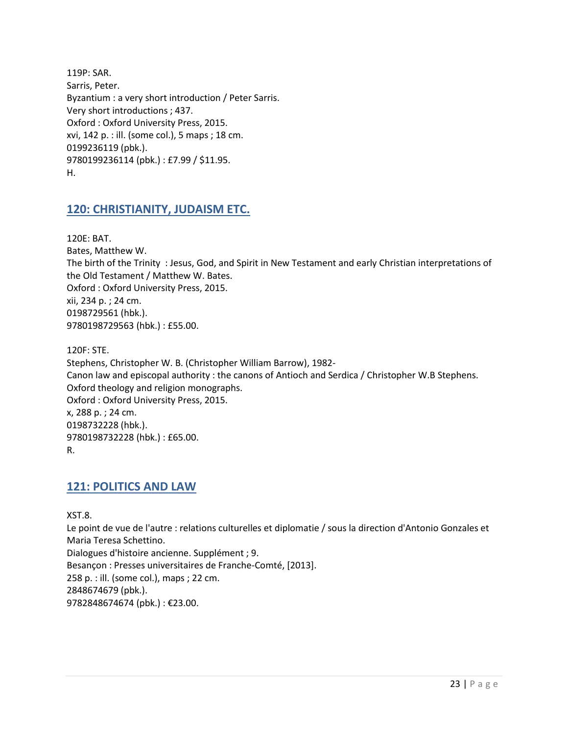119P: SAR. Sarris, Peter. Byzantium : a very short introduction / Peter Sarris. Very short introductions ; 437. Oxford : Oxford University Press, 2015. xvi, 142 p. : ill. (some col.), 5 maps ; 18 cm. 0199236119 (pbk.). 9780199236114 (pbk.) : £7.99 / \$11.95. H.

## <span id="page-22-0"></span>**120: CHRISTIANITY, JUDAISM ETC.**

120E: BAT. Bates, Matthew W. The birth of the Trinity : Jesus, God, and Spirit in New Testament and early Christian interpretations of the Old Testament / Matthew W. Bates. Oxford : Oxford University Press, 2015. xii, 234 p. ; 24 cm. 0198729561 (hbk.). 9780198729563 (hbk.) : £55.00.

120F: STE. Stephens, Christopher W. B. (Christopher William Barrow), 1982- Canon law and episcopal authority : the canons of Antioch and Serdica / Christopher W.B Stephens. Oxford theology and religion monographs. Oxford : Oxford University Press, 2015. x, 288 p. ; 24 cm. 0198732228 (hbk.). 9780198732228 (hbk.) : £65.00. R.

## <span id="page-22-1"></span>**121: POLITICS AND LAW**

XST.8.

Le point de vue de l'autre : relations culturelles et diplomatie / sous la direction d'Antonio Gonzales et Maria Teresa Schettino. Dialogues d'histoire ancienne. Supplément ; 9. Besançon : Presses universitaires de Franche-Comté, [2013]. 258 p. : ill. (some col.), maps ; 22 cm. 2848674679 (pbk.). 9782848674674 (pbk.) : €23.00.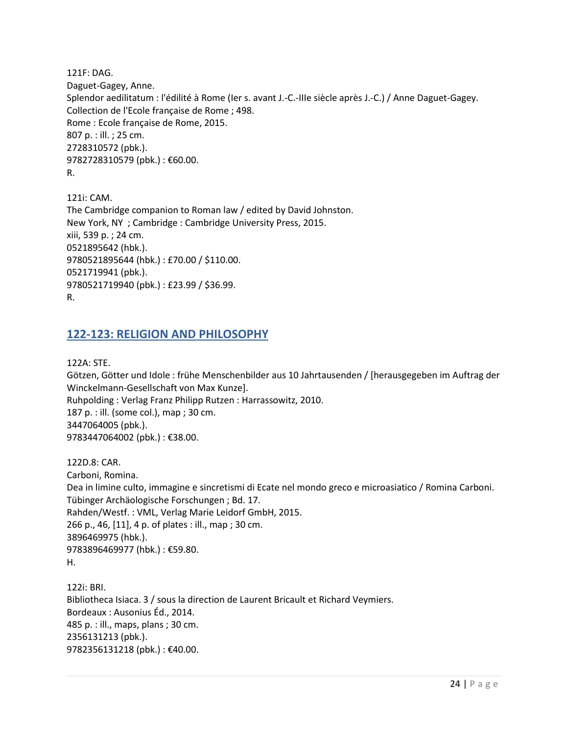121F: DAG. Daguet-Gagey, Anne. Splendor aedilitatum : l'édilité à Rome (Ier s. avant J.-C.-IIIe siècle après J.-C.) / Anne Daguet-Gagey. Collection de l'Ecole française de Rome ; 498. Rome : Ecole française de Rome, 2015. 807 p. : ill. ; 25 cm. 2728310572 (pbk.). 9782728310579 (pbk.) : €60.00. R.

121i: CAM. The Cambridge companion to Roman law / edited by David Johnston. New York, NY ; Cambridge : Cambridge University Press, 2015. xiii, 539 p. ; 24 cm. 0521895642 (hbk.). 9780521895644 (hbk.) : £70.00 / \$110.00. 0521719941 (pbk.). 9780521719940 (pbk.) : £23.99 / \$36.99. R.

#### <span id="page-23-0"></span>**122-123: RELIGION AND PHILOSOPHY**

122A: STE.

Götzen, Götter und Idole : frühe Menschenbilder aus 10 Jahrtausenden / [herausgegeben im Auftrag der Winckelmann-Gesellschaft von Max Kunze]. Ruhpolding : Verlag Franz Philipp Rutzen : Harrassowitz, 2010. 187 p. : ill. (some col.), map ; 30 cm. 3447064005 (pbk.). 9783447064002 (pbk.) : €38.00.

122D.8: CAR. Carboni, Romina. Dea in limine culto, immagine e sincretismi di Ecate nel mondo greco e microasiatico / Romina Carboni. Tübinger Archäologische Forschungen ; Bd. 17. Rahden/Westf. : VML, Verlag Marie Leidorf GmbH, 2015. 266 p., 46, [11], 4 p. of plates : ill., map ; 30 cm. 3896469975 (hbk.). 9783896469977 (hbk.) : €59.80. H.

122i: BRI. Bibliotheca Isiaca. 3 / sous la direction de Laurent Bricault et Richard Veymiers. Bordeaux : Ausonius Éd., 2014. 485 p. : ill., maps, plans ; 30 cm. 2356131213 (pbk.). 9782356131218 (pbk.) : €40.00.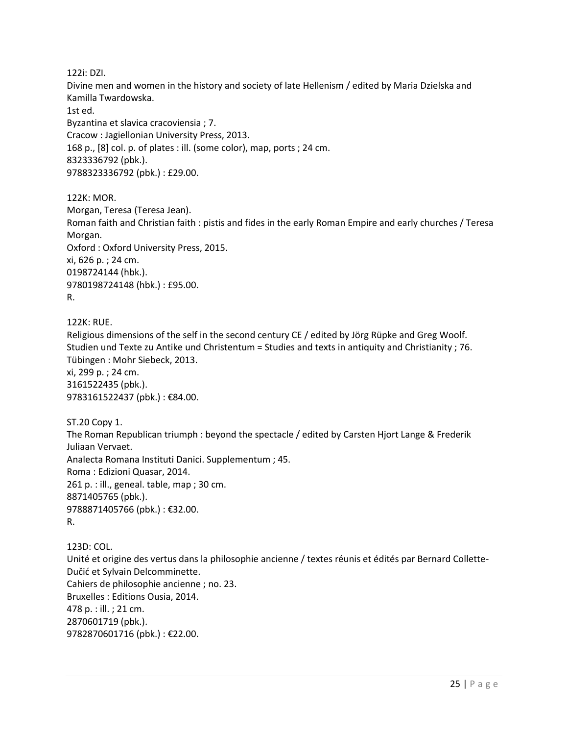122i: DZI. Divine men and women in the history and society of late Hellenism / edited by Maria Dzielska and Kamilla Twardowska. 1st ed. Byzantina et slavica cracoviensia ; 7. Cracow : Jagiellonian University Press, 2013. 168 p., [8] col. p. of plates : ill. (some color), map, ports ; 24 cm. 8323336792 (pbk.). 9788323336792 (pbk.) : £29.00.

122K: MOR. Morgan, Teresa (Teresa Jean). Roman faith and Christian faith : pistis and fides in the early Roman Empire and early churches / Teresa Morgan. Oxford : Oxford University Press, 2015. xi, 626 p. ; 24 cm. 0198724144 (hbk.). 9780198724148 (hbk.) : £95.00. R.

122K: RUE. Religious dimensions of the self in the second century CE / edited by Jörg Rüpke and Greg Woolf. Studien und Texte zu Antike und Christentum = Studies and texts in antiquity and Christianity ; 76. Tübingen : Mohr Siebeck, 2013. xi, 299 p. ; 24 cm. 3161522435 (pbk.). 9783161522437 (pbk.): €84.00.

ST.20 Copy 1. The Roman Republican triumph : beyond the spectacle / edited by Carsten Hjort Lange & Frederik Juliaan Vervaet. Analecta Romana Instituti Danici. Supplementum ; 45. Roma : Edizioni Quasar, 2014. 261 p. : ill., geneal. table, map ; 30 cm. 8871405765 (pbk.). 9788871405766 (pbk.) : €32.00. R.

123D: COL. Unité et origine des vertus dans la philosophie ancienne / textes réunis et édités par Bernard Collette-Dučić et Sylvain Delcomminette. Cahiers de philosophie ancienne ; no. 23. Bruxelles : Editions Ousia, 2014. 478 p. : ill. ; 21 cm. 2870601719 (pbk.). 9782870601716 (pbk.) : €22.00.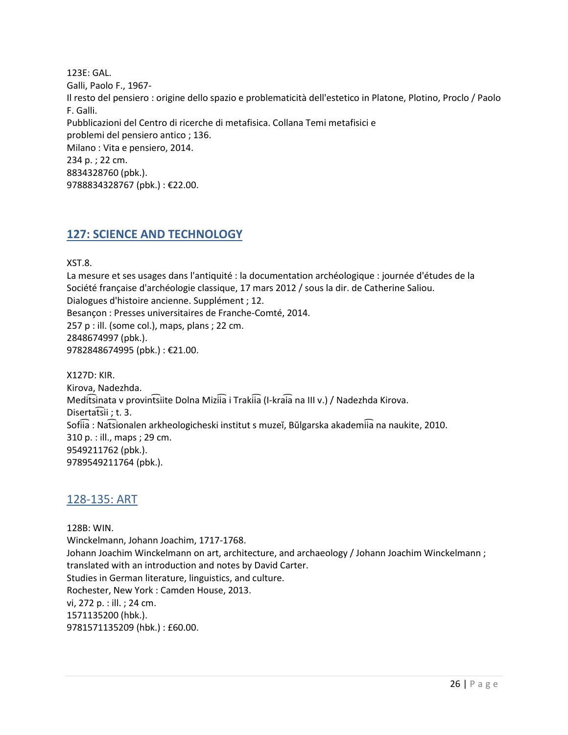123E: GAL. Galli, Paolo F., 1967- Il resto del pensiero : origine dello spazio e problematicità dell'estetico in Platone, Plotino, Proclo / Paolo F. Galli. Pubblicazioni del Centro di ricerche di metafisica. Collana Temi metafisici e problemi del pensiero antico ; 136. Milano : Vita e pensiero, 2014. 234 p. ; 22 cm. 8834328760 (pbk.). 9788834328767 (pbk.) : €22.00.

## <span id="page-25-0"></span>**127: SCIENCE AND TECHNOLOGY**

XST.8.

La mesure et ses usages dans l'antiquité : la documentation archéologique : journée d'études de la Société française d'archéologie classique, 17 mars 2012 / sous la dir. de Catherine Saliou. Dialogues d'histoire ancienne. Supplément ; 12. Besançon : Presses universitaires de Franche-Comté, 2014.  $257$  p : ill. (some col.), maps, plans ; 22 cm. 2848674997 (pbk.). 9782848674995 (pbk.) : €21.00.

X127D: KIR. Kirova, Nadezhda. Meditsinata v provintsiite Dolna Miziia i Trakiia (I-kraia na III v.) / Nadezhda Kirova. Disertatsii; t. 3. Sofiia : Natsionalen arkheologicheski institut s muzeĭ, Bŭlgarska akademiia na naukite, 2010. 310 p. : ill., maps ; 29 cm. 9549211762 (pbk.). 9789549211764 (pbk.).

## <span id="page-25-1"></span>128-135: ART

128B: WIN. Winckelmann, Johann Joachim, 1717-1768. Johann Joachim Winckelmann on art, architecture, and archaeology / Johann Joachim Winckelmann ; translated with an introduction and notes by David Carter. Studies in German literature, linguistics, and culture. Rochester, New York : Camden House, 2013. vi, 272 p. : ill. ; 24 cm. 1571135200 (hbk.). 9781571135209 (hbk.) : £60.00.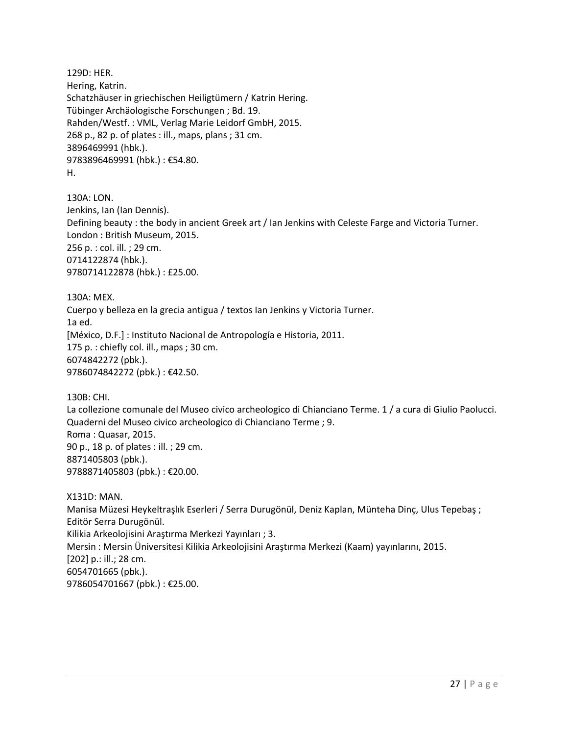129D: HER. Hering, Katrin. Schatzhäuser in griechischen Heiligtümern / Katrin Hering. Tübinger Archäologische Forschungen ; Bd. 19. Rahden/Westf. : VML, Verlag Marie Leidorf GmbH, 2015. 268 p., 82 p. of plates : ill., maps, plans ; 31 cm. 3896469991 (hbk.). 9783896469991 (hbk.) : €54.80. H.

130A: LON. Jenkins, Ian (Ian Dennis). Defining beauty : the body in ancient Greek art / Ian Jenkins with Celeste Farge and Victoria Turner. London : British Museum, 2015. 256 p. : col. ill. ; 29 cm. 0714122874 (hbk.). 9780714122878 (hbk.) : £25.00.

130A: MEX. Cuerpo y belleza en la grecia antigua / textos Ian Jenkins y Victoria Turner. 1a ed. [México, D.F.] : Instituto Nacional de Antropología e Historia, 2011. 175 p. : chiefly col. ill., maps ; 30 cm. 6074842272 (pbk.). 9786074842272 (pbk.) : €42.50.

130B: CHI.

La collezione comunale del Museo civico archeologico di Chianciano Terme. 1 / a cura di Giulio Paolucci. Quaderni del Museo civico archeologico di Chianciano Terme ; 9. Roma : Quasar, 2015. 90 p., 18 p. of plates : ill. ; 29 cm. 8871405803 (pbk.). 9788871405803 (pbk.) : €20.00.

X131D: MAN. Manisa Müzesi Heykeltraşlık Eserleri / Serra Durugönül, Deniz Kaplan, Münteha Dinç, Ulus Tepebaş ; Editör Serra Durugönül. Kilikia Arkeolojisini Araştırma Merkezi Yayınları ; 3. Mersin : Mersin Üniversitesi Kilikia Arkeolojisini Araştırma Merkezi (Kaam) yayınlarını, 2015. [202] p.: ill.; 28 cm. 6054701665 (pbk.). 9786054701667 (pbk.) : €25.00.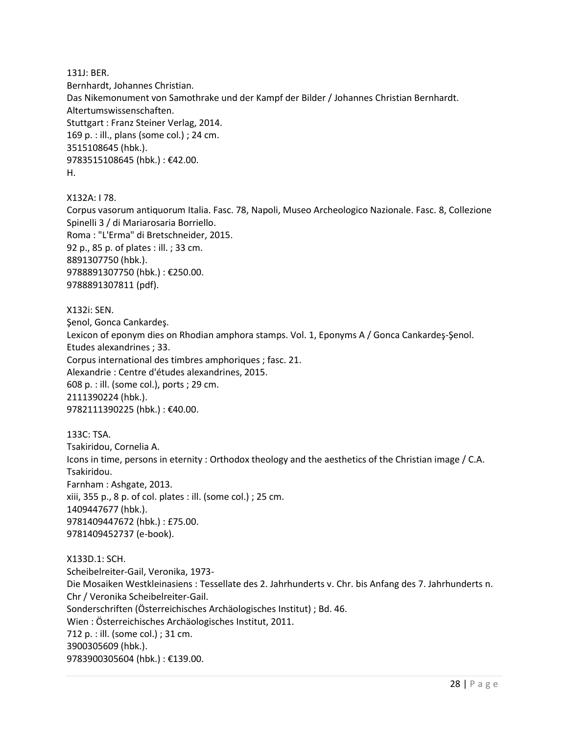131J: BER.

Bernhardt, Johannes Christian. Das Nikemonument von Samothrake und der Kampf der Bilder / Johannes Christian Bernhardt. Altertumswissenschaften. Stuttgart : Franz Steiner Verlag, 2014. 169 p. : ill., plans (some col.) ; 24 cm. 3515108645 (hbk.). 9783515108645 (hbk.) : €42.00. H.

X132A: I 78.

Corpus vasorum antiquorum Italia. Fasc. 78, Napoli, Museo Archeologico Nazionale. Fasc. 8, Collezione Spinelli 3 / di Mariarosaria Borriello. Roma : "L'Erma" di Bretschneider, 2015. 92 p., 85 p. of plates : ill. ; 33 cm. 8891307750 (hbk.). 9788891307750 (hbk.) : €250.00. 9788891307811 (pdf).

X132i: SEN. Şenol, Gonca Cankardeş. Lexicon of eponym dies on Rhodian amphora stamps. Vol. 1, Eponyms A / Gonca Cankardeş-Şenol. Etudes alexandrines ; 33. Corpus international des timbres amphoriques ; fasc. 21. Alexandrie : Centre d'études alexandrines, 2015. 608 p. : ill. (some col.), ports ; 29 cm. 2111390224 (hbk.). 9782111390225 (hbk.) : €40.00.

133C: TSA. Tsakiridou, Cornelia A. Icons in time, persons in eternity : Orthodox theology and the aesthetics of the Christian image / C.A. Tsakiridou. Farnham : Ashgate, 2013. xiii, 355 p., 8 p. of col. plates : ill. (some col.) ; 25 cm. 1409447677 (hbk.). 9781409447672 (hbk.) : £75.00. 9781409452737 (e-book).

X133D.1: SCH. Scheibelreiter-Gail, Veronika, 1973- Die Mosaiken Westkleinasiens : Tessellate des 2. Jahrhunderts v. Chr. bis Anfang des 7. Jahrhunderts n. Chr / Veronika Scheibelreiter-Gail. Sonderschriften (Österreichisches Archäologisches Institut) ; Bd. 46. Wien : Österreichisches Archäologisches Institut, 2011. 712 p. : ill. (some col.) ; 31 cm. 3900305609 (hbk.). 9783900305604 (hbk.) : €139.00.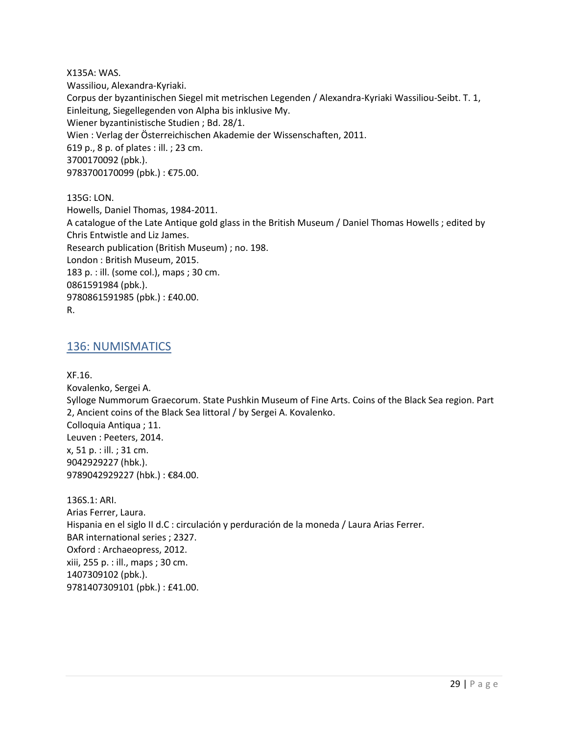X135A: WAS. Wassiliou, Alexandra-Kyriaki. Corpus der byzantinischen Siegel mit metrischen Legenden / Alexandra-Kyriaki Wassiliou-Seibt. T. 1, Einleitung, Siegellegenden von Alpha bis inklusive My. Wiener byzantinistische Studien ; Bd. 28/1. Wien : Verlag der Österreichischen Akademie der Wissenschaften, 2011. 619 p., 8 p. of plates : ill. ; 23 cm. 3700170092 (pbk.). 9783700170099 (pbk.): €75.00.

135G: LON. Howells, Daniel Thomas, 1984-2011. A catalogue of the Late Antique gold glass in the British Museum / Daniel Thomas Howells ; edited by Chris Entwistle and Liz James. Research publication (British Museum) ; no. 198. London : British Museum, 2015. 183 p. : ill. (some col.), maps ; 30 cm. 0861591984 (pbk.). 9780861591985 (pbk.) : £40.00. R.

#### <span id="page-28-0"></span>136: NUMISMATICS

XF.16.

Kovalenko, Sergei A. Sylloge Nummorum Graecorum. State Pushkin Museum of Fine Arts. Coins of the Black Sea region. Part 2, Ancient coins of the Black Sea littoral / by Sergei A. Kovalenko. Colloquia Antiqua ; 11. Leuven : Peeters, 2014. x, 51 p. : ill. ; 31 cm. 9042929227 (hbk.). 9789042929227 (hbk.) : €84.00.

136S.1: ARI. Arias Ferrer, Laura. Hispania en el siglo II d.C : circulación y perduración de la moneda / Laura Arias Ferrer. BAR international series ; 2327. Oxford : Archaeopress, 2012. xiii, 255 p. : ill., maps ; 30 cm. 1407309102 (pbk.). 9781407309101 (pbk.) : £41.00.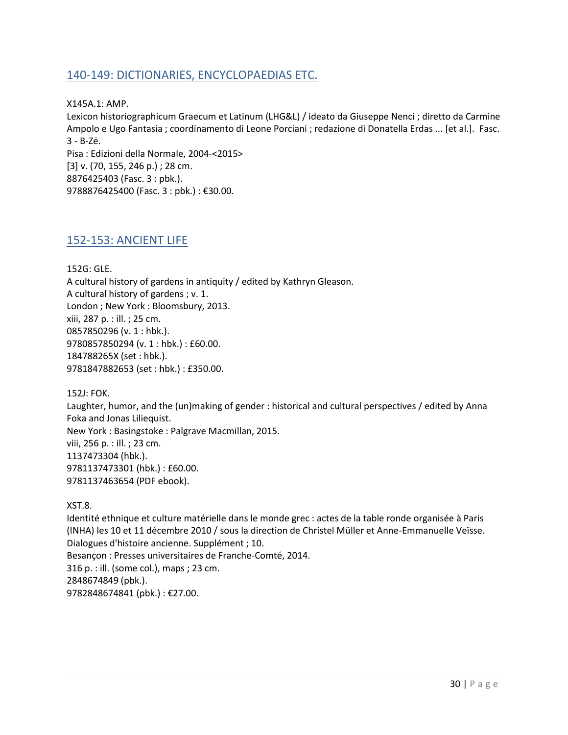## <span id="page-29-0"></span>140-149: DICTIONARIES, ENCYCLOPAEDIAS ETC.

X145A.1: AMP.

Lexicon historiographicum Graecum et Latinum (LHG&L) / ideato da Giuseppe Nenci ; diretto da Carmine Ampolo e Ugo Fantasia ; coordinamento di Leone Porciani ; redazione di Donatella Erdas ... [et al.]. Fasc. 3 - B-Zē. Pisa : Edizioni della Normale, 2004-<2015>

[3] v. (70, 155, 246 p.) ; 28 cm. 8876425403 (Fasc. 3 : pbk.). 9788876425400 (Fasc. 3 : pbk.) : €30.00.

### <span id="page-29-1"></span>152-153: ANCIENT LIFE

152G: GLE. A cultural history of gardens in antiquity / edited by Kathryn Gleason. A cultural history of gardens ; v. 1. London ; New York : Bloomsbury, 2013. xiii, 287 p. : ill. ; 25 cm. 0857850296 (v. 1 : hbk.). 9780857850294 (v. 1 : hbk.) : £60.00. 184788265X (set : hbk.). 9781847882653 (set : hbk.) : £350.00.

152J: FOK. Laughter, humor, and the (un)making of gender : historical and cultural perspectives / edited by Anna Foka and Jonas Liliequist. New York : Basingstoke : Palgrave Macmillan, 2015. viii, 256 p. : ill. ; 23 cm. 1137473304 (hbk.). 9781137473301 (hbk.) : £60.00. 9781137463654 (PDF ebook).

XST.8.

Identité ethnique et culture matérielle dans le monde grec : actes de la table ronde organisée à Paris (INHA) les 10 et 11 décembre 2010 / sous la direction de Christel Müller et Anne-Emmanuelle Veïsse. Dialogues d'histoire ancienne. Supplément ; 10. Besançon : Presses universitaires de Franche-Comté, 2014. 316 p. : ill. (some col.), maps ; 23 cm. 2848674849 (pbk.). 9782848674841 (pbk.) : €27.00.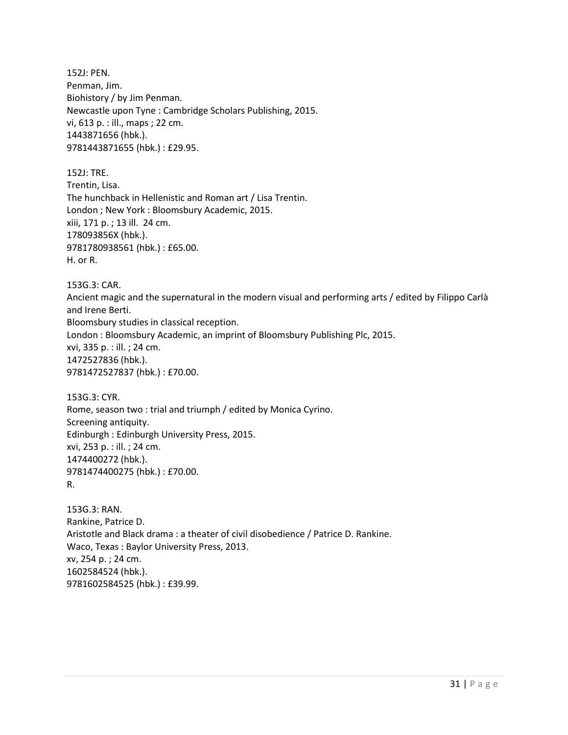152J: PEN. Penman, Jim. Biohistory / by Jim Penman. Newcastle upon Tyne : Cambridge Scholars Publishing, 2015. vi, 613 p. : ill., maps ; 22 cm. 1443871656 (hbk.). 9781443871655 (hbk.) : £29.95.

152J: TRE. Trentin, Lisa. The hunchback in Hellenistic and Roman art / Lisa Trentin. London ; New York : Bloomsbury Academic, 2015. xiii, 171 p. ; 13 ill. 24 cm. 178093856X (hbk.). 9781780938561 (hbk.) : £65.00. H. or R.

153G.3: CAR.

Ancient magic and the supernatural in the modern visual and performing arts / edited by Filippo Carlà and Irene Berti. Bloomsbury studies in classical reception. London : Bloomsbury Academic, an imprint of Bloomsbury Publishing Plc, 2015. xvi, 335 p. : ill. ; 24 cm. 1472527836 (hbk.). 9781472527837 (hbk.) : £70.00.

153G.3: CYR. Rome, season two : trial and triumph / edited by Monica Cyrino. Screening antiquity. Edinburgh : Edinburgh University Press, 2015. xvi, 253 p. : ill. ; 24 cm. 1474400272 (hbk.). 9781474400275 (hbk.) : £70.00. R.

153G.3: RAN. Rankine, Patrice D. Aristotle and Black drama : a theater of civil disobedience / Patrice D. Rankine. Waco, Texas : Baylor University Press, 2013. xv, 254 p. ; 24 cm. 1602584524 (hbk.). 9781602584525 (hbk.) : £39.99.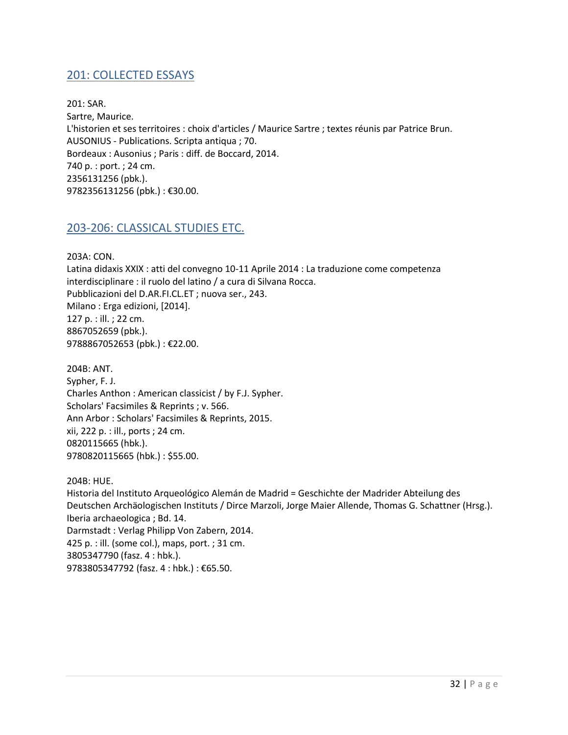## <span id="page-31-0"></span>201: COLLECTED ESSAYS

201: SAR. Sartre, Maurice. L'historien et ses territoires : choix d'articles / Maurice Sartre ; textes réunis par Patrice Brun. AUSONIUS - Publications. Scripta antiqua ; 70. Bordeaux : Ausonius ; Paris : diff. de Boccard, 2014. 740 p. : port. ; 24 cm. 2356131256 (pbk.). 9782356131256 (pbk.) : €30.00.

## <span id="page-31-1"></span>203-206: CLASSICAL STUDIES ETC.

203A: CON.

Latina didaxis XXIX : atti del convegno 10-11 Aprile 2014 : La traduzione come competenza interdisciplinare : il ruolo del latino / a cura di Silvana Rocca. Pubblicazioni del D.AR.FI.CL.ET ; nuova ser., 243. Milano : Erga edizioni, [2014]. 127 p. : ill. ; 22 cm. 8867052659 (pbk.). 9788867052653 (pbk.) : €22.00.

204B: ANT. Sypher, F. J. Charles Anthon : American classicist / by F.J. Sypher. Scholars' Facsimiles & Reprints ; v. 566. Ann Arbor : Scholars' Facsimiles & Reprints, 2015. xii, 222 p. : ill., ports ; 24 cm. 0820115665 (hbk.). 9780820115665 (hbk.) : \$55.00.

204B: HUE. Historia del Instituto Arqueológico Alemán de Madrid = Geschichte der Madrider Abteilung des Deutschen Archäologischen Instituts / Dirce Marzoli, Jorge Maier Allende, Thomas G. Schattner (Hrsg.). Iberia archaeologica ; Bd. 14. Darmstadt : Verlag Philipp Von Zabern, 2014. 425 p. : ill. (some col.), maps, port. ; 31 cm. 3805347790 (fasz. 4 : hbk.). 9783805347792 (fasz. 4 : hbk.) : €65.50.